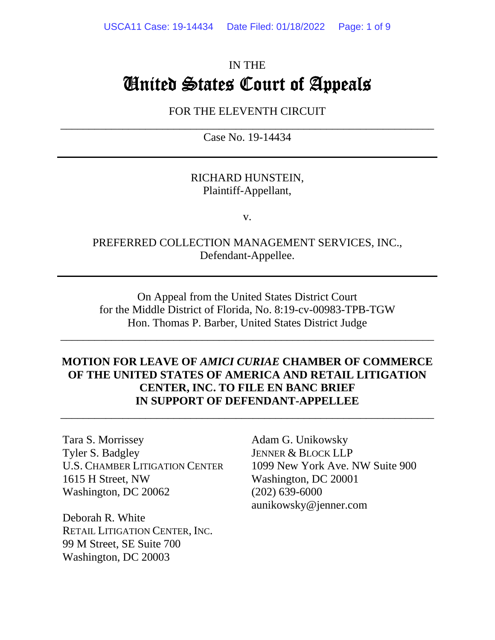# IN THE United States Court of Appeals

### FOR THE ELEVENTH CIRCUIT  $\overline{\phantom{a}}$  , and the contribution of the contribution of the contribution of the contribution of the contribution of  $\overline{\phantom{a}}$

Case No. 19-14434

### RICHARD HUNSTEIN, Plaintiff-Appellant,

v.

### PREFERRED COLLECTION MANAGEMENT SERVICES, INC., Defendant-Appellee.

On Appeal from the United States District Court for the Middle District of Florida, No. 8:19-cv-00983-TPB-TGW Hon. Thomas P. Barber, United States District Judge

\_\_\_\_\_\_\_\_\_\_\_\_\_\_\_\_\_\_\_\_\_\_\_\_\_\_\_\_\_\_\_\_\_\_\_\_\_\_\_\_\_\_\_\_\_\_\_\_\_\_\_\_\_\_\_\_\_\_\_\_\_\_\_\_\_\_

### **MOTION FOR LEAVE OF** *AMICI CURIAE* **CHAMBER OF COMMERCE OF THE UNITED STATES OF AMERICA AND RETAIL LITIGATION CENTER, INC. TO FILE EN BANC BRIEF IN SUPPORT OF DEFENDANT-APPELLEE**

\_\_\_\_\_\_\_\_\_\_\_\_\_\_\_\_\_\_\_\_\_\_\_\_\_\_\_\_\_\_\_\_\_\_\_\_\_\_\_\_\_\_\_\_\_\_\_\_\_\_\_\_\_\_\_\_\_\_\_\_\_\_\_\_\_\_

Tara S. Morrissey Tyler S. Badgley U.S. CHAMBER LITIGATION CENTER 1615 H Street, NW Washington, DC 20062

Deborah R. White RETAIL LITIGATION CENTER, INC. 99 M Street, SE Suite 700 Washington, DC 20003

Adam G. Unikowsky JENNER & BLOCK LLP 1099 New York Ave. NW Suite 900 Washington, DC 20001 (202) 639-6000 aunikowsky@jenner.com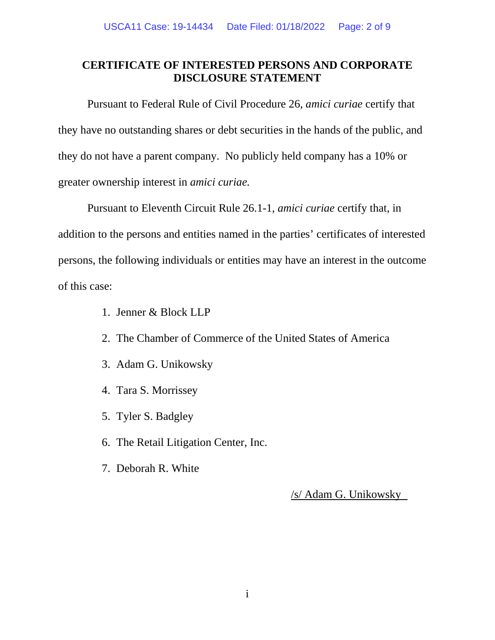### **CERTIFICATE OF INTERESTED PERSONS AND CORPORATE DISCLOSURE STATEMENT**

Pursuant to Federal Rule of Civil Procedure 26, *amici curiae* certify that they have no outstanding shares or debt securities in the hands of the public, and they do not have a parent company. No publicly held company has a 10% or greater ownership interest in *amici curiae.*

Pursuant to Eleventh Circuit Rule 26.1-1, *amici curiae* certify that, in addition to the persons and entities named in the parties' certificates of interested persons, the following individuals or entities may have an interest in the outcome of this case:

- 1. Jenner & Block LLP
- 2. The Chamber of Commerce of the United States of America
- 3. Adam G. Unikowsky
- 4. Tara S. Morrissey
- 5. Tyler S. Badgley
- 6. The Retail Litigation Center, Inc.
- 7. Deborah R. White

/s/ Adam G. Unikowsky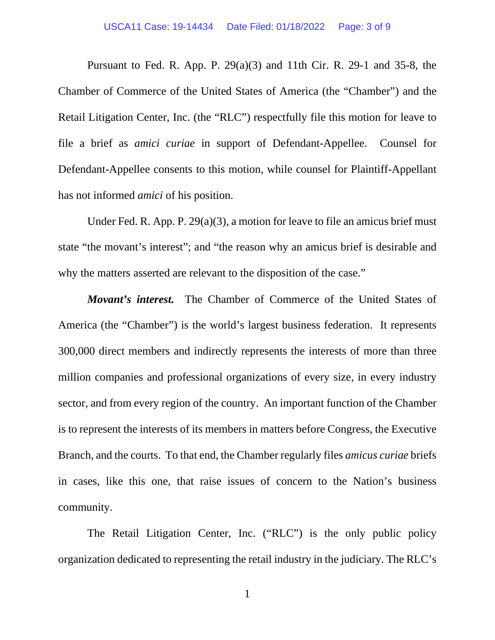Pursuant to Fed. R. App. P.  $29(a)(3)$  and 11th Cir. R. 29-1 and 35-8, the Chamber of Commerce of the United States of America (the "Chamber") and the Retail Litigation Center, Inc. (the "RLC") respectfully file this motion for leave to file a brief as *amici curiae* in support of Defendant-Appellee. Counsel for Defendant-Appellee consents to this motion, while counsel for Plaintiff-Appellant has not informed *amici* of his position.

Under Fed. R. App. P. 29(a)(3), a motion for leave to file an amicus brief must state "the movant's interest"; and "the reason why an amicus brief is desirable and why the matters asserted are relevant to the disposition of the case."

*Movant's interest.* The Chamber of Commerce of the United States of America (the "Chamber") is the world's largest business federation. It represents 300,000 direct members and indirectly represents the interests of more than three million companies and professional organizations of every size, in every industry sector, and from every region of the country. An important function of the Chamber is to represent the interests of its members in matters before Congress, the Executive Branch, and the courts. To that end, the Chamber regularly files *amicus curiae* briefs in cases, like this one, that raise issues of concern to the Nation's business community.

The Retail Litigation Center, Inc. ("RLC") is the only public policy organization dedicated to representing the retail industry in the judiciary. The RLC's

1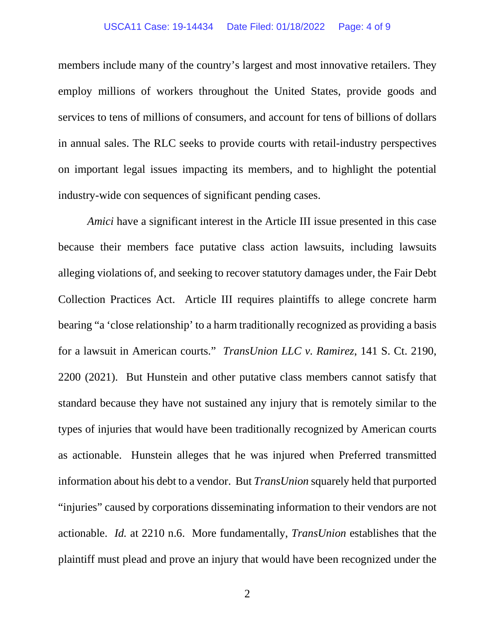#### USCA11 Case: 19-14434 Date Filed: 01/18/2022 Page: 4 of 9

members include many of the country's largest and most innovative retailers. They employ millions of workers throughout the United States, provide goods and services to tens of millions of consumers, and account for tens of billions of dollars in annual sales. The RLC seeks to provide courts with retail-industry perspectives on important legal issues impacting its members, and to highlight the potential industry-wide con sequences of significant pending cases.

*Amici* have a significant interest in the Article III issue presented in this case because their members face putative class action lawsuits, including lawsuits alleging violations of, and seeking to recover statutory damages under, the Fair Debt Collection Practices Act. Article III requires plaintiffs to allege concrete harm bearing "a 'close relationship' to a harm traditionally recognized as providing a basis for a lawsuit in American courts." *TransUnion LLC v. Ramirez*, 141 S. Ct. 2190, 2200 (2021). But Hunstein and other putative class members cannot satisfy that standard because they have not sustained any injury that is remotely similar to the types of injuries that would have been traditionally recognized by American courts as actionable. Hunstein alleges that he was injured when Preferred transmitted information about his debt to a vendor. But *TransUnion* squarely held that purported "injuries" caused by corporations disseminating information to their vendors are not actionable. *Id.* at 2210 n.6. More fundamentally, *TransUnion* establishes that the plaintiff must plead and prove an injury that would have been recognized under the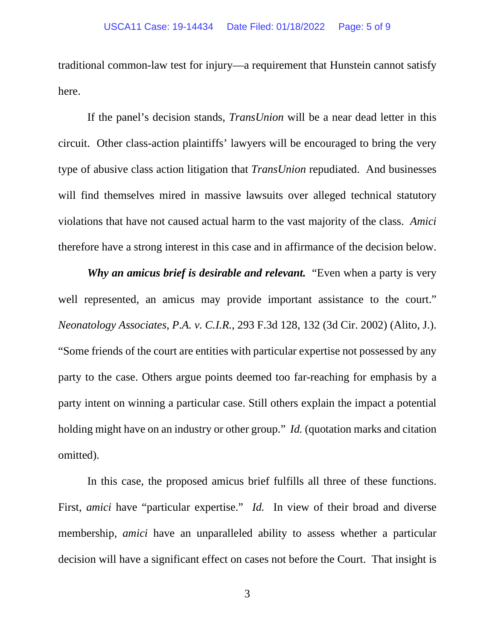traditional common-law test for injury—a requirement that Hunstein cannot satisfy here.

If the panel's decision stands, *TransUnion* will be a near dead letter in this circuit. Other class-action plaintiffs' lawyers will be encouraged to bring the very type of abusive class action litigation that *TransUnion* repudiated. And businesses will find themselves mired in massive lawsuits over alleged technical statutory violations that have not caused actual harm to the vast majority of the class. *Amici*  therefore have a strong interest in this case and in affirmance of the decision below.

*Why an amicus brief is desirable and relevant.* "Even when a party is very well represented, an amicus may provide important assistance to the court." *Neonatology Associates, P.A. v. C.I.R.*, 293 F.3d 128, 132 (3d Cir. 2002) (Alito, J.). "Some friends of the court are entities with particular expertise not possessed by any party to the case. Others argue points deemed too far-reaching for emphasis by a party intent on winning a particular case. Still others explain the impact a potential holding might have on an industry or other group." *Id.* (quotation marks and citation omitted).

In this case, the proposed amicus brief fulfills all three of these functions. First, *amici* have "particular expertise." *Id.* In view of their broad and diverse membership, *amici* have an unparalleled ability to assess whether a particular decision will have a significant effect on cases not before the Court. That insight is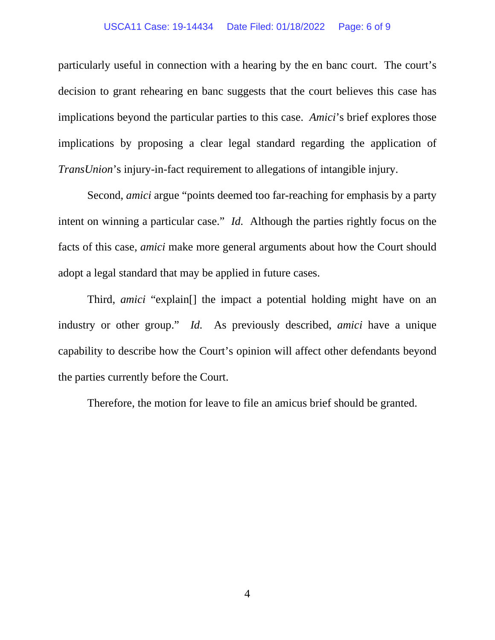#### USCA11 Case: 19-14434 Date Filed: 01/18/2022 Page: 6 of 9

particularly useful in connection with a hearing by the en banc court. The court's decision to grant rehearing en banc suggests that the court believes this case has implications beyond the particular parties to this case. *Amici*'s brief explores those implications by proposing a clear legal standard regarding the application of *TransUnion*'s injury-in-fact requirement to allegations of intangible injury.

Second, *amici* argue "points deemed too far-reaching for emphasis by a party intent on winning a particular case." *Id.* Although the parties rightly focus on the facts of this case, *amici* make more general arguments about how the Court should adopt a legal standard that may be applied in future cases.

Third, *amici* "explain[] the impact a potential holding might have on an industry or other group." *Id.* As previously described, *amici* have a unique capability to describe how the Court's opinion will affect other defendants beyond the parties currently before the Court.

Therefore, the motion for leave to file an amicus brief should be granted.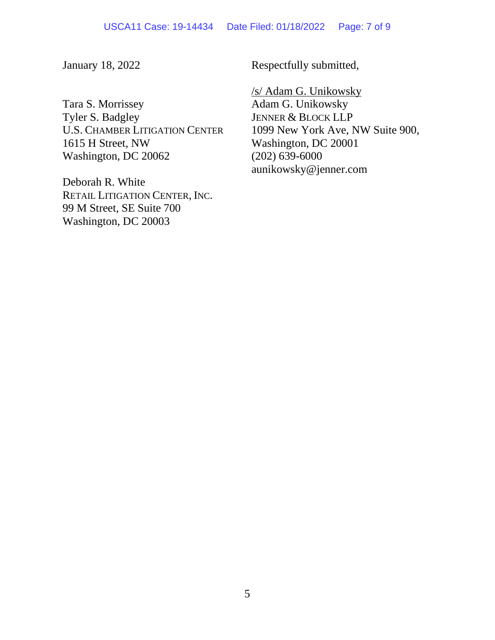January 18, 2022

Tara S. Morrissey Tyler S. Badgley U.S. CHAMBER LITIGATION CENTER 1615 H Street, NW Washington, DC 20062

Deborah R. White RETAIL LITIGATION CENTER, INC. 99 M Street, SE Suite 700 Washington, DC 20003

Respectfully submitted,

/s/ Adam G. Unikowsky Adam G. Unikowsky JENNER & BLOCK LLP 1099 New York Ave, NW Suite 900, Washington, DC 20001 (202) 639-6000 aunikowsky@jenner.com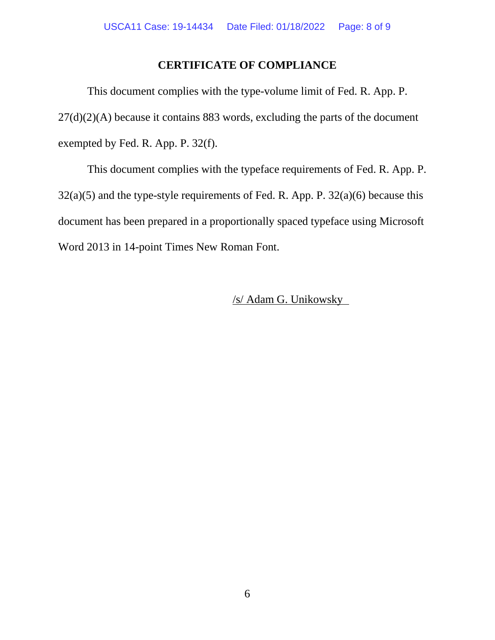### **CERTIFICATE OF COMPLIANCE**

This document complies with the type-volume limit of Fed. R. App. P.  $27(d)(2)(A)$  because it contains 883 words, excluding the parts of the document exempted by Fed. R. App. P. 32(f).

This document complies with the typeface requirements of Fed. R. App. P.  $32(a)(5)$  and the type-style requirements of Fed. R. App. P.  $32(a)(6)$  because this document has been prepared in a proportionally spaced typeface using Microsoft Word 2013 in 14-point Times New Roman Font.

/s/ Adam G. Unikowsky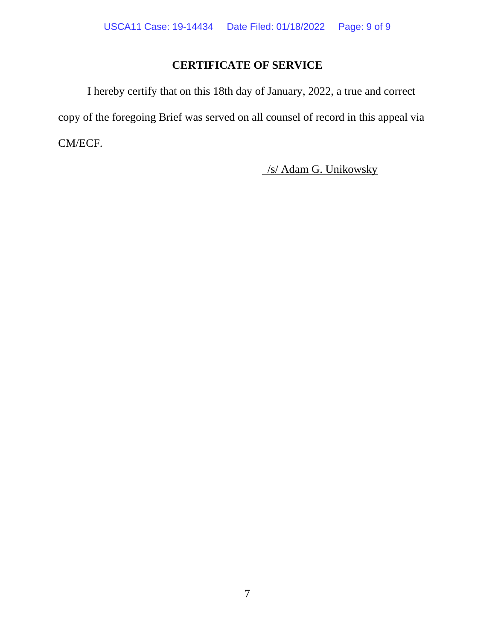# **CERTIFICATE OF SERVICE**

I hereby certify that on this 18th day of January, 2022, a true and correct copy of the foregoing Brief was served on all counsel of record in this appeal via CM/ECF.

/s/ Adam G. Unikowsky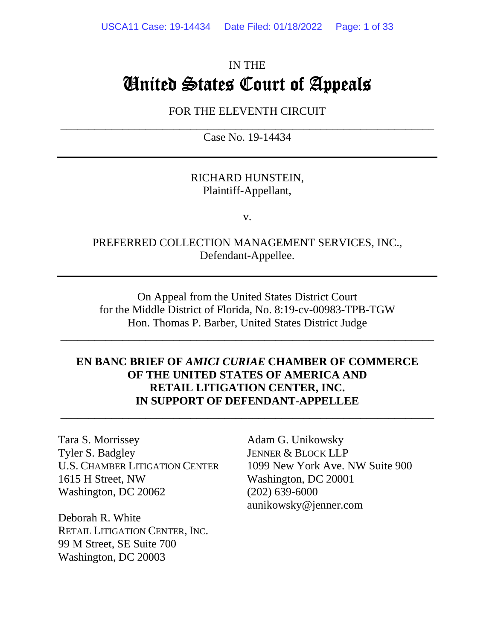# IN THE United States Court of Appeals

FOR THE ELEVENTH CIRCUIT

 $\overline{\phantom{a}}$  , and the contribution of the contribution of the contribution of the contribution of the contribution of  $\overline{\phantom{a}}$ Case No. 19-14434

### RICHARD HUNSTEIN, Plaintiff-Appellant,

v.

### PREFERRED COLLECTION MANAGEMENT SERVICES, INC., Defendant-Appellee.

On Appeal from the United States District Court for the Middle District of Florida, No. 8:19-cv-00983-TPB-TGW Hon. Thomas P. Barber, United States District Judge

\_\_\_\_\_\_\_\_\_\_\_\_\_\_\_\_\_\_\_\_\_\_\_\_\_\_\_\_\_\_\_\_\_\_\_\_\_\_\_\_\_\_\_\_\_\_\_\_\_\_\_\_\_\_\_\_\_\_\_\_\_\_\_\_\_\_

### **EN BANC BRIEF OF** *AMICI CURIAE* **CHAMBER OF COMMERCE OF THE UNITED STATES OF AMERICA AND RETAIL LITIGATION CENTER, INC. IN SUPPORT OF DEFENDANT-APPELLEE**

\_\_\_\_\_\_\_\_\_\_\_\_\_\_\_\_\_\_\_\_\_\_\_\_\_\_\_\_\_\_\_\_\_\_\_\_\_\_\_\_\_\_\_\_\_\_\_\_\_\_\_\_\_\_\_\_\_\_\_\_\_\_\_\_\_\_

Tara S. Morrissey Tyler S. Badgley U.S. CHAMBER LITIGATION CENTER 1615 H Street, NW Washington, DC 20062

Deborah R. White RETAIL LITIGATION CENTER, INC. 99 M Street, SE Suite 700 Washington, DC 20003

Adam G. Unikowsky JENNER & BLOCK LLP 1099 New York Ave. NW Suite 900 Washington, DC 20001 (202) 639-6000 aunikowsky@jenner.com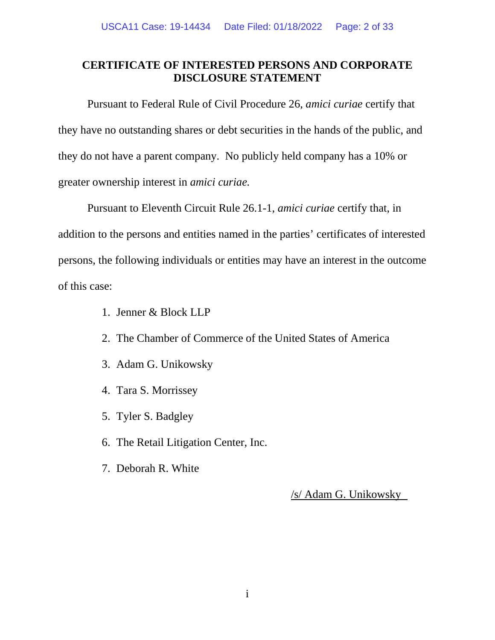### **CERTIFICATE OF INTERESTED PERSONS AND CORPORATE DISCLOSURE STATEMENT**

Pursuant to Federal Rule of Civil Procedure 26, *amici curiae* certify that they have no outstanding shares or debt securities in the hands of the public, and they do not have a parent company. No publicly held company has a 10% or greater ownership interest in *amici curiae.*

Pursuant to Eleventh Circuit Rule 26.1-1, *amici curiae* certify that, in addition to the persons and entities named in the parties' certificates of interested persons, the following individuals or entities may have an interest in the outcome of this case:

- 1. Jenner & Block LLP
- 2. The Chamber of Commerce of the United States of America
- 3. Adam G. Unikowsky
- 4. Tara S. Morrissey
- 5. Tyler S. Badgley
- 6. The Retail Litigation Center, Inc.
- 7. Deborah R. White

/s/ Adam G. Unikowsky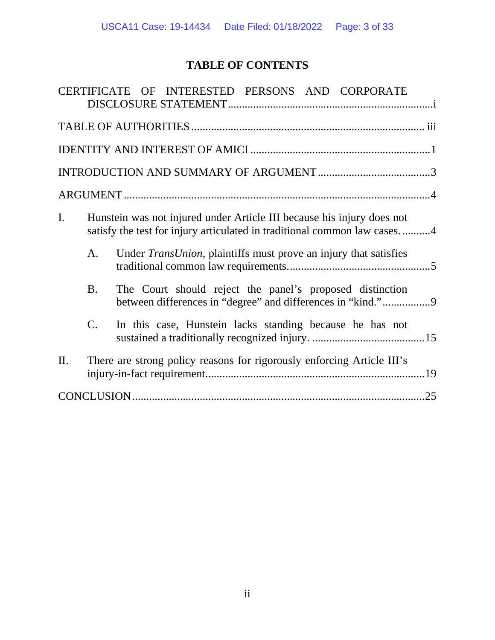# **TABLE OF CONTENTS**

|                |                                                                                                                                                    | CERTIFICATE OF INTERESTED PERSONS AND CORPORATE                        |  |
|----------------|----------------------------------------------------------------------------------------------------------------------------------------------------|------------------------------------------------------------------------|--|
|                |                                                                                                                                                    |                                                                        |  |
|                |                                                                                                                                                    |                                                                        |  |
|                |                                                                                                                                                    |                                                                        |  |
|                |                                                                                                                                                    |                                                                        |  |
| $\mathbf{I}$ . | Hunstein was not injured under Article III because his injury does not<br>satisfy the test for injury articulated in traditional common law cases4 |                                                                        |  |
|                | A.                                                                                                                                                 | Under TransUnion, plaintiffs must prove an injury that satisfies       |  |
|                | <b>B.</b>                                                                                                                                          | The Court should reject the panel's proposed distinction               |  |
|                | C.                                                                                                                                                 | In this case, Hunstein lacks standing because he has not               |  |
| II.            |                                                                                                                                                    | There are strong policy reasons for rigorously enforcing Article III's |  |
|                |                                                                                                                                                    | .25                                                                    |  |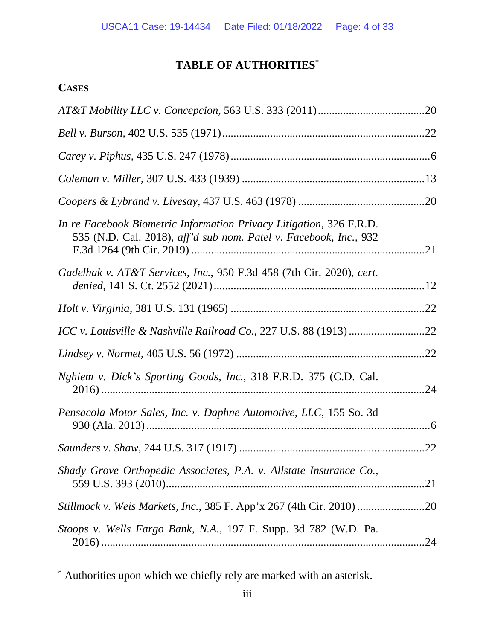# **TABLE OF AUTHORITIES\***

## **CASES**

| In re Facebook Biometric Information Privacy Litigation, 326 F.R.D.<br>535 (N.D. Cal. 2018), aff'd sub nom. Patel v. Facebook, Inc., 932 |  |
|------------------------------------------------------------------------------------------------------------------------------------------|--|
| Gadelhak v. AT&T Services, Inc., 950 F.3d 458 (7th Cir. 2020), cert.                                                                     |  |
|                                                                                                                                          |  |
|                                                                                                                                          |  |
|                                                                                                                                          |  |
| Nghiem v. Dick's Sporting Goods, Inc., 318 F.R.D. 375 (C.D. Cal.                                                                         |  |
| Pensacola Motor Sales, Inc. v. Daphne Automotive, LLC, 155 So. 3d                                                                        |  |
|                                                                                                                                          |  |
| Shady Grove Orthopedic Associates, P.A. v. Allstate Insurance Co.,                                                                       |  |
| Stillmock v. Weis Markets, Inc., 385 F. App'x 267 (4th Cir. 2010)                                                                        |  |
| Stoops v. Wells Fargo Bank, N.A., 197 F. Supp. 3d 782 (W.D. Pa.                                                                          |  |

<sup>\*</sup> Authorities upon which we chiefly rely are marked with an asterisk.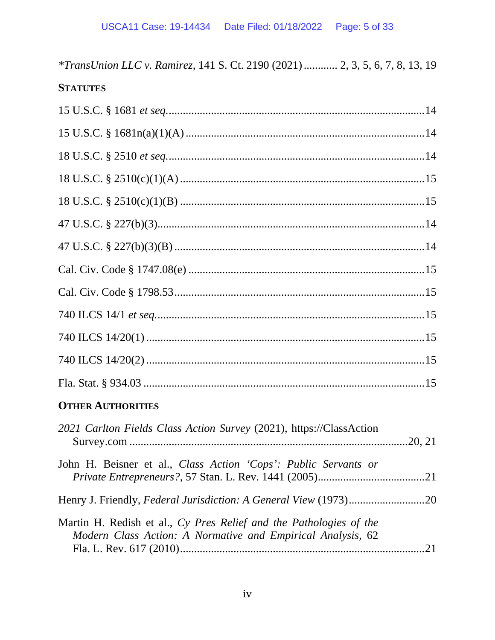\*TransUnion LLC v. Ramirez, 141 S. Ct. 2190 (2021) ............ 2, 3, 5, 6, 7, 8, 13, 19

# **STATUTES**

| <b>OTHER AUTHORITIES</b>                                            |  |
|---------------------------------------------------------------------|--|
| 2021 Carlton Fields Class Action Survey (2021), https://ClassAction |  |
| John H. Beisner et al., Class Action 'Cops': Public Servants or     |  |
|                                                                     |  |
|                                                                     |  |

| Martin H. Redish et al., Cy Pres Relief and the Pathologies of the |  |
|--------------------------------------------------------------------|--|
| Modern Class Action: A Normative and Empirical Analysis, 62        |  |
|                                                                    |  |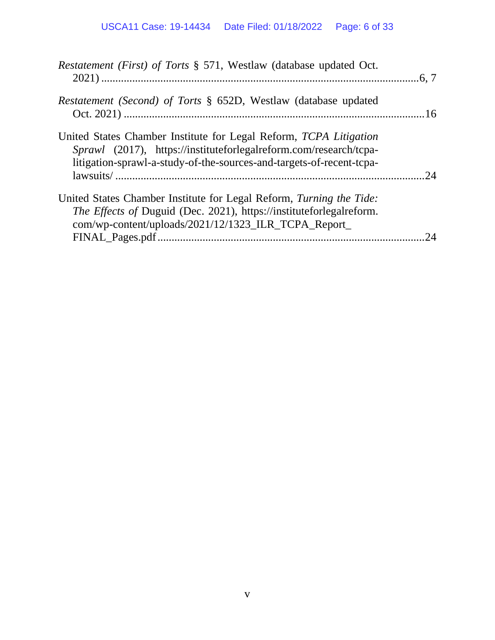| Restatement (First) of Torts § 571, Westlaw (database updated Oct.                                                                                                                                             |     |
|----------------------------------------------------------------------------------------------------------------------------------------------------------------------------------------------------------------|-----|
| Restatement (Second) of Torts § 652D, Westlaw (database updated                                                                                                                                                |     |
| United States Chamber Institute for Legal Reform, TCPA Litigation<br>Sprawl (2017), https://instituteforlegalreform.com/research/tcpa-<br>litigation-sprawl-a-study-of-the-sources-and-targets-of-recent-tcpa- | .24 |
| United States Chamber Institute for Legal Reform, Turning the Tide:<br>The Effects of Duguid (Dec. 2021), https://instituteforlegalreform.<br>com/wp-content/uploads/2021/12/1323 ILR TCPA Report              | 24  |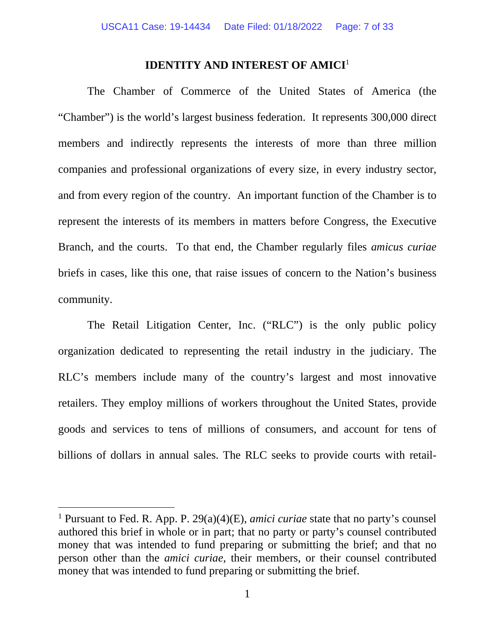#### **IDENTITY AND INTEREST OF AMICI<sup>1</sup>**

The Chamber of Commerce of the United States of America (the "Chamber") is the world's largest business federation. It represents 300,000 direct members and indirectly represents the interests of more than three million companies and professional organizations of every size, in every industry sector, and from every region of the country. An important function of the Chamber is to represent the interests of its members in matters before Congress, the Executive Branch, and the courts. To that end, the Chamber regularly files *amicus curiae* briefs in cases, like this one, that raise issues of concern to the Nation's business community.

The Retail Litigation Center, Inc. ("RLC") is the only public policy organization dedicated to representing the retail industry in the judiciary. The RLC's members include many of the country's largest and most innovative retailers. They employ millions of workers throughout the United States, provide goods and services to tens of millions of consumers, and account for tens of billions of dollars in annual sales. The RLC seeks to provide courts with retail-

<sup>&</sup>lt;sup>1</sup> Pursuant to Fed. R. App. P. 29(a)(4)(E), *amici curiae* state that no party's counsel authored this brief in whole or in part; that no party or party's counsel contributed money that was intended to fund preparing or submitting the brief; and that no person other than the *amici curiae*, their members, or their counsel contributed money that was intended to fund preparing or submitting the brief.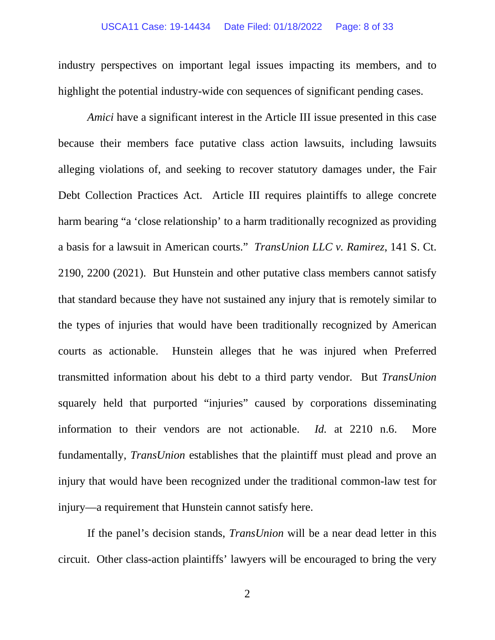#### USCA11 Case: 19-14434 Date Filed: 01/18/2022 Page: 8 of 33

industry perspectives on important legal issues impacting its members, and to highlight the potential industry-wide con sequences of significant pending cases.

*Amici* have a significant interest in the Article III issue presented in this case because their members face putative class action lawsuits, including lawsuits alleging violations of, and seeking to recover statutory damages under, the Fair Debt Collection Practices Act. Article III requires plaintiffs to allege concrete harm bearing "a 'close relationship' to a harm traditionally recognized as providing a basis for a lawsuit in American courts." *TransUnion LLC v. Ramirez*, 141 S. Ct. 2190, 2200 (2021). But Hunstein and other putative class members cannot satisfy that standard because they have not sustained any injury that is remotely similar to the types of injuries that would have been traditionally recognized by American courts as actionable. Hunstein alleges that he was injured when Preferred transmitted information about his debt to a third party vendor. But *TransUnion* squarely held that purported "injuries" caused by corporations disseminating information to their vendors are not actionable. *Id.* at 2210 n.6. More fundamentally, *TransUnion* establishes that the plaintiff must plead and prove an injury that would have been recognized under the traditional common-law test for injury—a requirement that Hunstein cannot satisfy here.

If the panel's decision stands, *TransUnion* will be a near dead letter in this circuit. Other class-action plaintiffs' lawyers will be encouraged to bring the very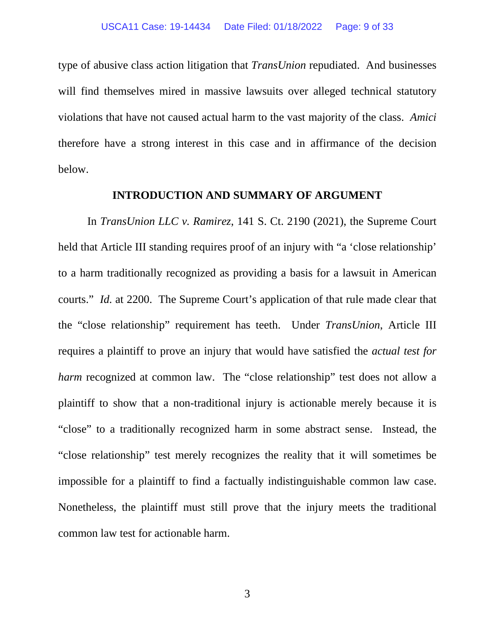type of abusive class action litigation that *TransUnion* repudiated. And businesses will find themselves mired in massive lawsuits over alleged technical statutory violations that have not caused actual harm to the vast majority of the class. *Amici*  therefore have a strong interest in this case and in affirmance of the decision below.

#### **INTRODUCTION AND SUMMARY OF ARGUMENT**

In *TransUnion LLC v. Ramirez*, 141 S. Ct. 2190 (2021), the Supreme Court held that Article III standing requires proof of an injury with "a 'close relationship' to a harm traditionally recognized as providing a basis for a lawsuit in American courts." *Id.* at 2200. The Supreme Court's application of that rule made clear that the "close relationship" requirement has teeth. Under *TransUnion*, Article III requires a plaintiff to prove an injury that would have satisfied the *actual test for harm* recognized at common law. The "close relationship" test does not allow a plaintiff to show that a non-traditional injury is actionable merely because it is "close" to a traditionally recognized harm in some abstract sense. Instead, the "close relationship" test merely recognizes the reality that it will sometimes be impossible for a plaintiff to find a factually indistinguishable common law case. Nonetheless, the plaintiff must still prove that the injury meets the traditional common law test for actionable harm.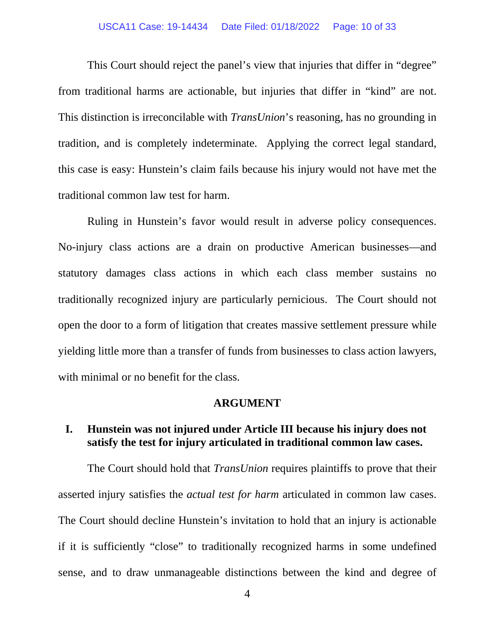#### USCA11 Case: 19-14434 Date Filed: 01/18/2022 Page: 10 of 33

This Court should reject the panel's view that injuries that differ in "degree" from traditional harms are actionable, but injuries that differ in "kind" are not. This distinction is irreconcilable with *TransUnion*'s reasoning, has no grounding in tradition, and is completely indeterminate. Applying the correct legal standard, this case is easy: Hunstein's claim fails because his injury would not have met the traditional common law test for harm.

Ruling in Hunstein's favor would result in adverse policy consequences. No-injury class actions are a drain on productive American businesses—and statutory damages class actions in which each class member sustains no traditionally recognized injury are particularly pernicious. The Court should not open the door to a form of litigation that creates massive settlement pressure while yielding little more than a transfer of funds from businesses to class action lawyers, with minimal or no benefit for the class.

#### **ARGUMENT**

### **I. Hunstein was not injured under Article III because his injury does not satisfy the test for injury articulated in traditional common law cases.**

The Court should hold that *TransUnion* requires plaintiffs to prove that their asserted injury satisfies the *actual test for harm* articulated in common law cases. The Court should decline Hunstein's invitation to hold that an injury is actionable if it is sufficiently "close" to traditionally recognized harms in some undefined sense, and to draw unmanageable distinctions between the kind and degree of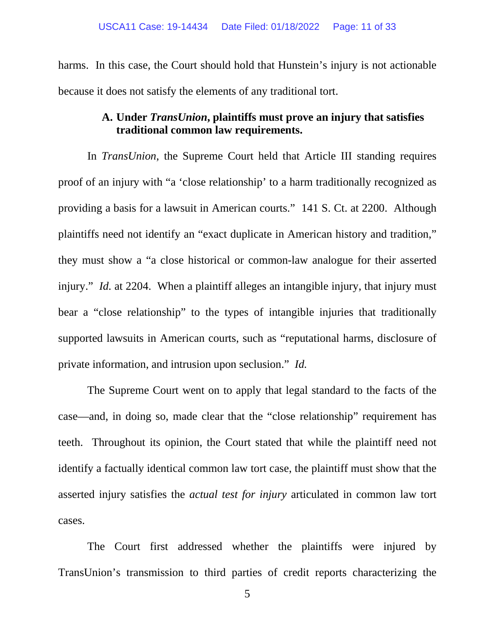harms. In this case, the Court should hold that Hunstein's injury is not actionable because it does not satisfy the elements of any traditional tort.

### **A. Under** *TransUnion***, plaintiffs must prove an injury that satisfies traditional common law requirements.**

In *TransUnion*, the Supreme Court held that Article III standing requires proof of an injury with "a 'close relationship' to a harm traditionally recognized as providing a basis for a lawsuit in American courts." 141 S. Ct. at 2200. Although plaintiffs need not identify an "exact duplicate in American history and tradition," they must show a "a close historical or common-law analogue for their asserted injury." *Id.* at 2204. When a plaintiff alleges an intangible injury, that injury must bear a "close relationship" to the types of intangible injuries that traditionally supported lawsuits in American courts, such as "reputational harms, disclosure of private information, and intrusion upon seclusion." *Id.* 

The Supreme Court went on to apply that legal standard to the facts of the case—and, in doing so, made clear that the "close relationship" requirement has teeth. Throughout its opinion, the Court stated that while the plaintiff need not identify a factually identical common law tort case, the plaintiff must show that the asserted injury satisfies the *actual test for injury* articulated in common law tort cases.

The Court first addressed whether the plaintiffs were injured by TransUnion's transmission to third parties of credit reports characterizing the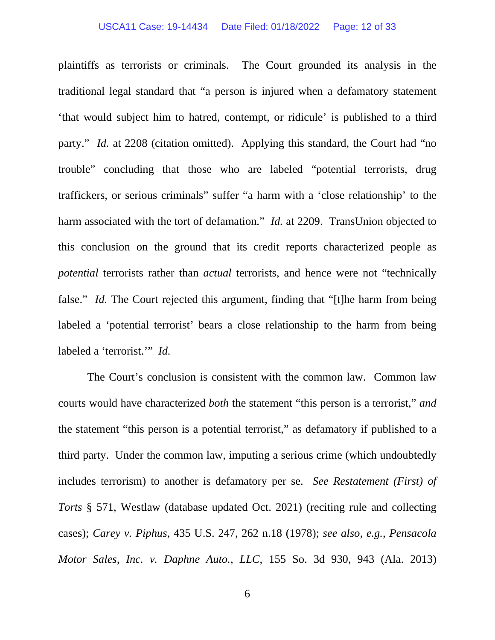#### USCA11 Case: 19-14434 Date Filed: 01/18/2022 Page: 12 of 33

plaintiffs as terrorists or criminals. The Court grounded its analysis in the traditional legal standard that "a person is injured when a defamatory statement 'that would subject him to hatred, contempt, or ridicule' is published to a third party." *Id.* at 2208 (citation omitted). Applying this standard, the Court had "no trouble" concluding that those who are labeled "potential terrorists, drug traffickers, or serious criminals" suffer "a harm with a 'close relationship' to the harm associated with the tort of defamation." *Id.* at 2209. TransUnion objected to this conclusion on the ground that its credit reports characterized people as *potential* terrorists rather than *actual* terrorists, and hence were not "technically false." *Id.* The Court rejected this argument, finding that "[t]he harm from being labeled a 'potential terrorist' bears a close relationship to the harm from being labeled a 'terrorist.'" *Id.*

The Court's conclusion is consistent with the common law. Common law courts would have characterized *both* the statement "this person is a terrorist," *and* the statement "this person is a potential terrorist," as defamatory if published to a third party. Under the common law, imputing a serious crime (which undoubtedly includes terrorism) to another is defamatory per se. *See Restatement (First) of Torts* § 571, Westlaw (database updated Oct. 2021) (reciting rule and collecting cases); *Carey v. Piphus*, 435 U.S. 247, 262 n.18 (1978); *see also, e.g.*, *Pensacola Motor Sales, Inc. v. Daphne Auto., LLC*, 155 So. 3d 930, 943 (Ala. 2013)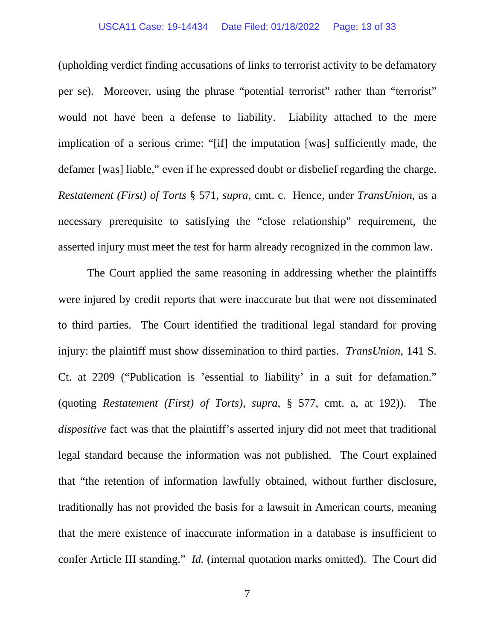#### USCA11 Case: 19-14434 Date Filed: 01/18/2022 Page: 13 of 33

(upholding verdict finding accusations of links to terrorist activity to be defamatory per se). Moreover, using the phrase "potential terrorist" rather than "terrorist" would not have been a defense to liability. Liability attached to the mere implication of a serious crime: "[if] the imputation [was] sufficiently made, the defamer [was] liable," even if he expressed doubt or disbelief regarding the charge. *Restatement (First) of Torts* § 571, *supra*, cmt. c. Hence, under *TransUnion*, as a necessary prerequisite to satisfying the "close relationship" requirement, the asserted injury must meet the test for harm already recognized in the common law.

The Court applied the same reasoning in addressing whether the plaintiffs were injured by credit reports that were inaccurate but that were not disseminated to third parties. The Court identified the traditional legal standard for proving injury: the plaintiff must show dissemination to third parties. *TransUnion*, 141 S. Ct. at 2209 ("Publication is 'essential to liability' in a suit for defamation." (quoting *Restatement (First) of Torts)*, *supra*, § 577, cmt. a, at 192)). The *dispositive* fact was that the plaintiff's asserted injury did not meet that traditional legal standard because the information was not published. The Court explained that "the retention of information lawfully obtained, without further disclosure, traditionally has not provided the basis for a lawsuit in American courts, meaning that the mere existence of inaccurate information in a database is insufficient to confer Article III standing." *Id.* (internal quotation marks omitted). The Court did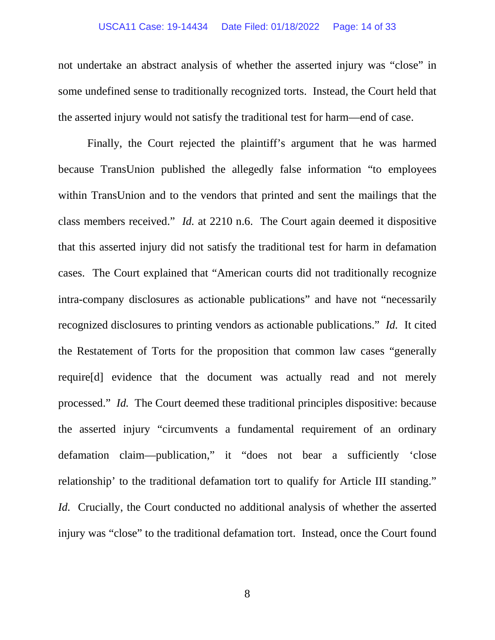#### USCA11 Case: 19-14434 Date Filed: 01/18/2022 Page: 14 of 33

not undertake an abstract analysis of whether the asserted injury was "close" in some undefined sense to traditionally recognized torts. Instead, the Court held that the asserted injury would not satisfy the traditional test for harm—end of case.

Finally, the Court rejected the plaintiff's argument that he was harmed because TransUnion published the allegedly false information "to employees within TransUnion and to the vendors that printed and sent the mailings that the class members received." *Id.* at 2210 n.6. The Court again deemed it dispositive that this asserted injury did not satisfy the traditional test for harm in defamation cases. The Court explained that "American courts did not traditionally recognize intra-company disclosures as actionable publications" and have not "necessarily recognized disclosures to printing vendors as actionable publications." *Id.* It cited the Restatement of Torts for the proposition that common law cases "generally require[d] evidence that the document was actually read and not merely processed." *Id.* The Court deemed these traditional principles dispositive: because the asserted injury "circumvents a fundamental requirement of an ordinary defamation claim—publication," it "does not bear a sufficiently 'close relationship' to the traditional defamation tort to qualify for Article III standing." *Id.* Crucially, the Court conducted no additional analysis of whether the asserted injury was "close" to the traditional defamation tort. Instead, once the Court found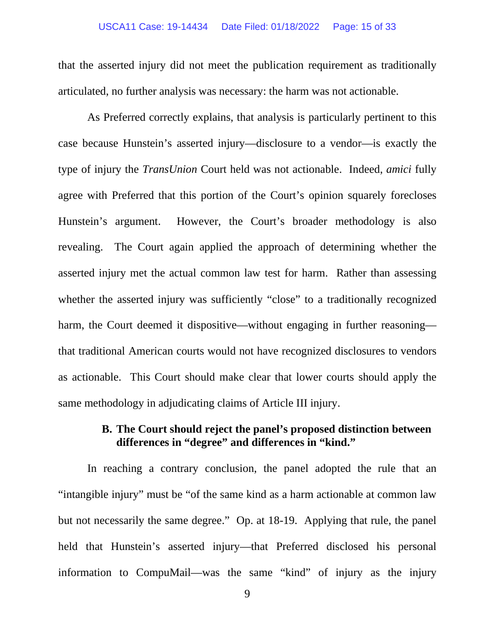#### USCA11 Case: 19-14434 Date Filed: 01/18/2022 Page: 15 of 33

that the asserted injury did not meet the publication requirement as traditionally articulated, no further analysis was necessary: the harm was not actionable.

As Preferred correctly explains, that analysis is particularly pertinent to this case because Hunstein's asserted injury—disclosure to a vendor—is exactly the type of injury the *TransUnion* Court held was not actionable. Indeed, *amici* fully agree with Preferred that this portion of the Court's opinion squarely forecloses Hunstein's argument. However, the Court's broader methodology is also revealing. The Court again applied the approach of determining whether the asserted injury met the actual common law test for harm. Rather than assessing whether the asserted injury was sufficiently "close" to a traditionally recognized harm, the Court deemed it dispositive—without engaging in further reasoning that traditional American courts would not have recognized disclosures to vendors as actionable. This Court should make clear that lower courts should apply the same methodology in adjudicating claims of Article III injury.

### **B. The Court should reject the panel's proposed distinction between differences in "degree" and differences in "kind."**

In reaching a contrary conclusion, the panel adopted the rule that an "intangible injury" must be "of the same kind as a harm actionable at common law but not necessarily the same degree." Op. at 18-19. Applying that rule, the panel held that Hunstein's asserted injury—that Preferred disclosed his personal information to CompuMail—was the same "kind" of injury as the injury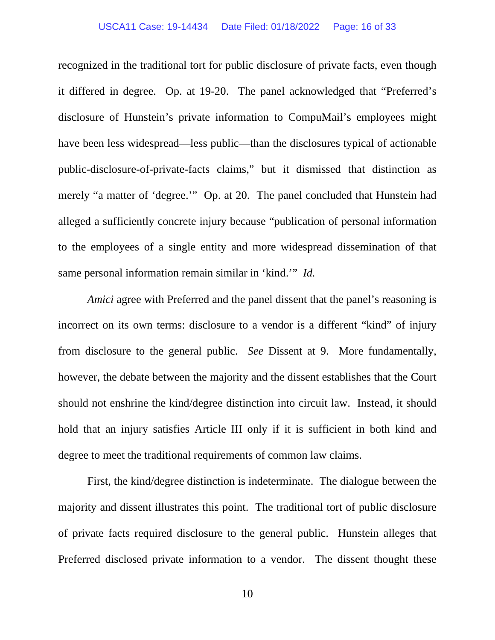#### USCA11 Case: 19-14434 Date Filed: 01/18/2022 Page: 16 of 33

recognized in the traditional tort for public disclosure of private facts, even though it differed in degree. Op. at 19-20. The panel acknowledged that "Preferred's disclosure of Hunstein's private information to CompuMail's employees might have been less widespread—less public—than the disclosures typical of actionable public-disclosure-of-private-facts claims," but it dismissed that distinction as merely "a matter of 'degree.'" Op. at 20. The panel concluded that Hunstein had alleged a sufficiently concrete injury because "publication of personal information to the employees of a single entity and more widespread dissemination of that same personal information remain similar in 'kind.'" *Id.* 

*Amici* agree with Preferred and the panel dissent that the panel's reasoning is incorrect on its own terms: disclosure to a vendor is a different "kind" of injury from disclosure to the general public. *See* Dissent at 9. More fundamentally, however, the debate between the majority and the dissent establishes that the Court should not enshrine the kind/degree distinction into circuit law. Instead, it should hold that an injury satisfies Article III only if it is sufficient in both kind and degree to meet the traditional requirements of common law claims.

First, the kind/degree distinction is indeterminate. The dialogue between the majority and dissent illustrates this point. The traditional tort of public disclosure of private facts required disclosure to the general public. Hunstein alleges that Preferred disclosed private information to a vendor. The dissent thought these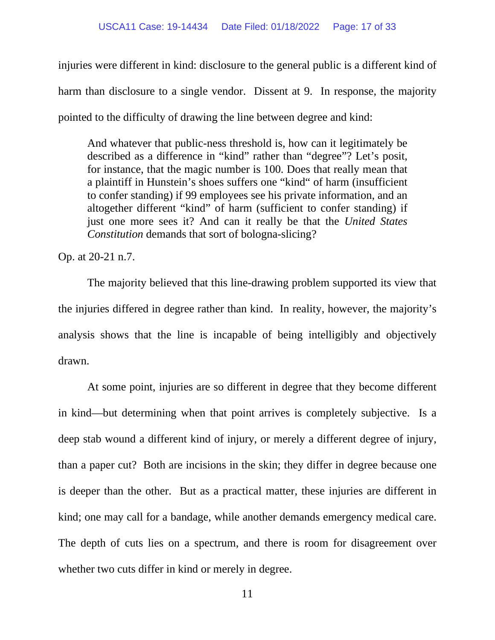injuries were different in kind: disclosure to the general public is a different kind of harm than disclosure to a single vendor. Dissent at 9. In response, the majority pointed to the difficulty of drawing the line between degree and kind:

And whatever that public-ness threshold is, how can it legitimately be described as a difference in "kind" rather than "degree"? Let's posit, for instance, that the magic number is 100. Does that really mean that a plaintiff in Hunstein's shoes suffers one "kind" of harm (insufficient to confer standing) if 99 employees see his private information, and an altogether different "kind" of harm (sufficient to confer standing) if just one more sees it? And can it really be that the *United States Constitution* demands that sort of bologna-slicing?

Op. at 20-21 n.7.

The majority believed that this line-drawing problem supported its view that the injuries differed in degree rather than kind. In reality, however, the majority's analysis shows that the line is incapable of being intelligibly and objectively drawn.

At some point, injuries are so different in degree that they become different in kind—but determining when that point arrives is completely subjective. Is a deep stab wound a different kind of injury, or merely a different degree of injury, than a paper cut? Both are incisions in the skin; they differ in degree because one is deeper than the other. But as a practical matter, these injuries are different in kind; one may call for a bandage, while another demands emergency medical care. The depth of cuts lies on a spectrum, and there is room for disagreement over whether two cuts differ in kind or merely in degree.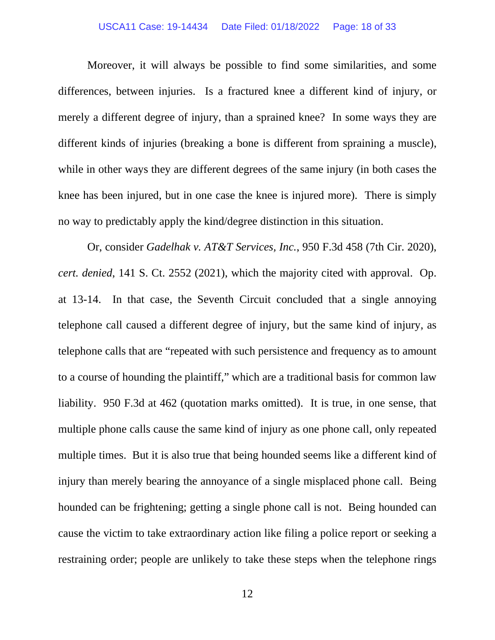#### USCA11 Case: 19-14434 Date Filed: 01/18/2022 Page: 18 of 33

Moreover, it will always be possible to find some similarities, and some differences, between injuries. Is a fractured knee a different kind of injury, or merely a different degree of injury, than a sprained knee? In some ways they are different kinds of injuries (breaking a bone is different from spraining a muscle), while in other ways they are different degrees of the same injury (in both cases the knee has been injured, but in one case the knee is injured more). There is simply no way to predictably apply the kind/degree distinction in this situation.

Or, consider *Gadelhak v. AT&T Services, Inc.*, 950 F.3d 458 (7th Cir. 2020), *cert. denied*, 141 S. Ct. 2552 (2021), which the majority cited with approval. Op. at 13-14. In that case, the Seventh Circuit concluded that a single annoying telephone call caused a different degree of injury, but the same kind of injury, as telephone calls that are "repeated with such persistence and frequency as to amount to a course of hounding the plaintiff," which are a traditional basis for common law liability. 950 F.3d at 462 (quotation marks omitted). It is true, in one sense, that multiple phone calls cause the same kind of injury as one phone call, only repeated multiple times. But it is also true that being hounded seems like a different kind of injury than merely bearing the annoyance of a single misplaced phone call. Being hounded can be frightening; getting a single phone call is not. Being hounded can cause the victim to take extraordinary action like filing a police report or seeking a restraining order; people are unlikely to take these steps when the telephone rings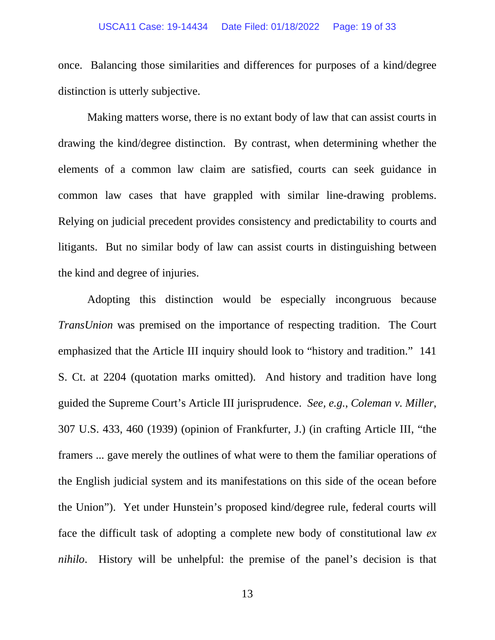#### USCA11 Case: 19-14434 Date Filed: 01/18/2022 Page: 19 of 33

once. Balancing those similarities and differences for purposes of a kind/degree distinction is utterly subjective.

Making matters worse, there is no extant body of law that can assist courts in drawing the kind/degree distinction. By contrast, when determining whether the elements of a common law claim are satisfied, courts can seek guidance in common law cases that have grappled with similar line-drawing problems. Relying on judicial precedent provides consistency and predictability to courts and litigants. But no similar body of law can assist courts in distinguishing between the kind and degree of injuries.

Adopting this distinction would be especially incongruous because *TransUnion* was premised on the importance of respecting tradition. The Court emphasized that the Article III inquiry should look to "history and tradition." 141 S. Ct. at 2204 (quotation marks omitted). And history and tradition have long guided the Supreme Court's Article III jurisprudence. *See, e.g.*, *Coleman v. Miller*, 307 U.S. 433, 460 (1939) (opinion of Frankfurter, J.) (in crafting Article III, "the framers ... gave merely the outlines of what were to them the familiar operations of the English judicial system and its manifestations on this side of the ocean before the Union"). Yet under Hunstein's proposed kind/degree rule, federal courts will face the difficult task of adopting a complete new body of constitutional law *ex nihilo*. History will be unhelpful: the premise of the panel's decision is that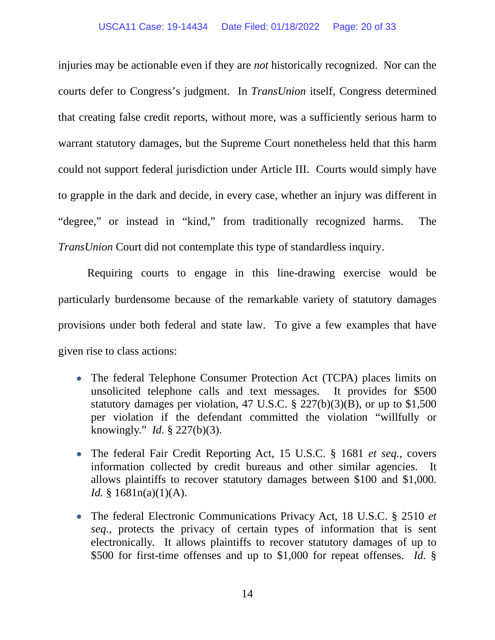#### USCA11 Case: 19-14434 Date Filed: 01/18/2022 Page: 20 of 33

injuries may be actionable even if they are *not* historically recognized. Nor can the courts defer to Congress's judgment. In *TransUnion* itself, Congress determined that creating false credit reports, without more, was a sufficiently serious harm to warrant statutory damages, but the Supreme Court nonetheless held that this harm could not support federal jurisdiction under Article III. Courts would simply have to grapple in the dark and decide, in every case, whether an injury was different in "degree," or instead in "kind," from traditionally recognized harms. The *TransUnion* Court did not contemplate this type of standardless inquiry.

Requiring courts to engage in this line-drawing exercise would be particularly burdensome because of the remarkable variety of statutory damages provisions under both federal and state law. To give a few examples that have given rise to class actions:

- The federal Telephone Consumer Protection Act (TCPA) places limits on unsolicited telephone calls and text messages. It provides for \$500 statutory damages per violation, 47 U.S.C. § 227(b)(3)(B), or up to \$1,500 per violation if the defendant committed the violation "willfully or knowingly." *Id.* § 227(b)(3).
- The federal Fair Credit Reporting Act, 15 U.S.C. § 1681 *et seq.*, covers information collected by credit bureaus and other similar agencies. It allows plaintiffs to recover statutory damages between \$100 and \$1,000. *Id.* §  $1681n(a)(1)(A)$ .
- The federal Electronic Communications Privacy Act, 18 U.S.C. § 2510 *et seq.*, protects the privacy of certain types of information that is sent electronically. It allows plaintiffs to recover statutory damages of up to \$500 for first-time offenses and up to \$1,000 for repeat offenses. *Id.* §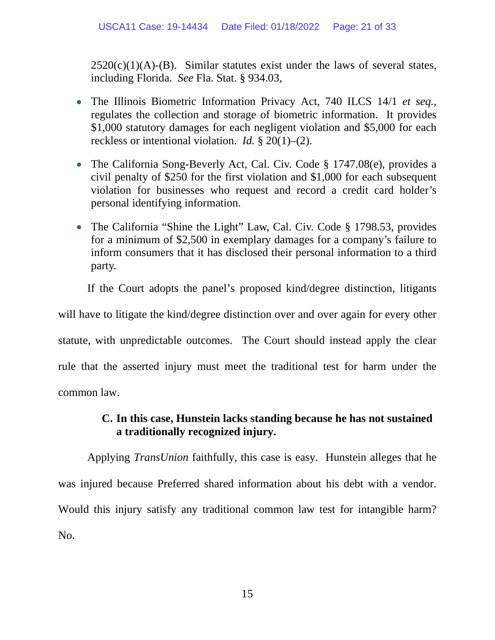$2520(c)(1)(A)$ -(B). Similar statutes exist under the laws of several states, including Florida. *See* Fla. Stat. § 934.03,

- The Illinois Biometric Information Privacy Act, 740 ILCS 14/1 *et seq.*, regulates the collection and storage of biometric information. It provides \$1,000 statutory damages for each negligent violation and \$5,000 for each reckless or intentional violation. *Id.* § 20(1)–(2).
- The California Song-Beverly Act, Cal. Civ. Code § 1747.08(e), provides a civil penalty of \$250 for the first violation and \$1,000 for each subsequent violation for businesses who request and record a credit card holder's personal identifying information.
- The California "Shine the Light" Law, Cal. Civ. Code § 1798.53, provides for a minimum of \$2,500 in exemplary damages for a company's failure to inform consumers that it has disclosed their personal information to a third party.

If the Court adopts the panel's proposed kind/degree distinction, litigants

will have to litigate the kind/degree distinction over and over again for every other statute, with unpredictable outcomes. The Court should instead apply the clear rule that the asserted injury must meet the traditional test for harm under the common law.

### **C. In this case, Hunstein lacks standing because he has not sustained a traditionally recognized injury.**

Applying *TransUnion* faithfully, this case is easy. Hunstein alleges that he was injured because Preferred shared information about his debt with a vendor. Would this injury satisfy any traditional common law test for intangible harm? No.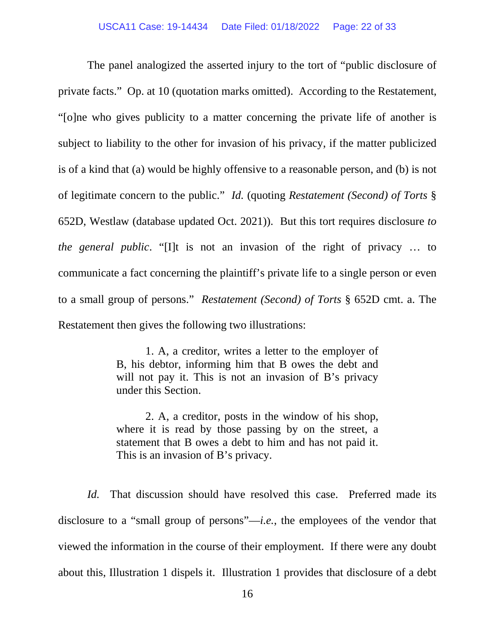The panel analogized the asserted injury to the tort of "public disclosure of private facts." Op. at 10 (quotation marks omitted). According to the Restatement, "[o]ne who gives publicity to a matter concerning the private life of another is subject to liability to the other for invasion of his privacy, if the matter publicized is of a kind that (a) would be highly offensive to a reasonable person, and (b) is not of legitimate concern to the public." *Id.* (quoting *Restatement (Second) of Torts* § 652D, Westlaw (database updated Oct. 2021)). But this tort requires disclosure *to the general public*. "[I]t is not an invasion of the right of privacy … to communicate a fact concerning the plaintiff's private life to a single person or even to a small group of persons." *Restatement (Second) of Torts* § 652D cmt. a. The Restatement then gives the following two illustrations:

> 1. A, a creditor, writes a letter to the employer of B, his debtor, informing him that B owes the debt and will not pay it. This is not an invasion of B's privacy under this Section.

> 2. A, a creditor, posts in the window of his shop, where it is read by those passing by on the street, a statement that B owes a debt to him and has not paid it. This is an invasion of B's privacy.

*Id.* That discussion should have resolved this case. Preferred made its disclosure to a "small group of persons"—*i.e.*, the employees of the vendor that viewed the information in the course of their employment. If there were any doubt about this, Illustration 1 dispels it. Illustration 1 provides that disclosure of a debt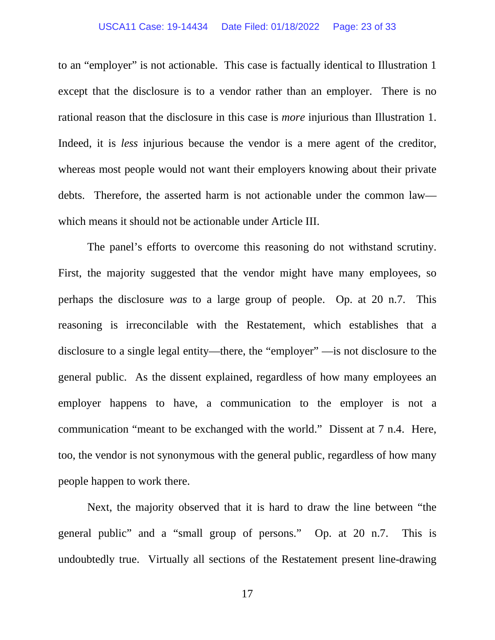#### USCA11 Case: 19-14434 Date Filed: 01/18/2022 Page: 23 of 33

to an "employer" is not actionable. This case is factually identical to Illustration 1 except that the disclosure is to a vendor rather than an employer. There is no rational reason that the disclosure in this case is *more* injurious than Illustration 1. Indeed, it is *less* injurious because the vendor is a mere agent of the creditor, whereas most people would not want their employers knowing about their private debts. Therefore, the asserted harm is not actionable under the common law which means it should not be actionable under Article III.

The panel's efforts to overcome this reasoning do not withstand scrutiny. First, the majority suggested that the vendor might have many employees, so perhaps the disclosure *was* to a large group of people. Op. at 20 n.7. This reasoning is irreconcilable with the Restatement, which establishes that a disclosure to a single legal entity—there, the "employer" —is not disclosure to the general public. As the dissent explained, regardless of how many employees an employer happens to have, a communication to the employer is not a communication "meant to be exchanged with the world." Dissent at 7 n.4. Here, too, the vendor is not synonymous with the general public, regardless of how many people happen to work there.

Next, the majority observed that it is hard to draw the line between "the general public" and a "small group of persons." Op. at 20 n.7. This is undoubtedly true. Virtually all sections of the Restatement present line-drawing

17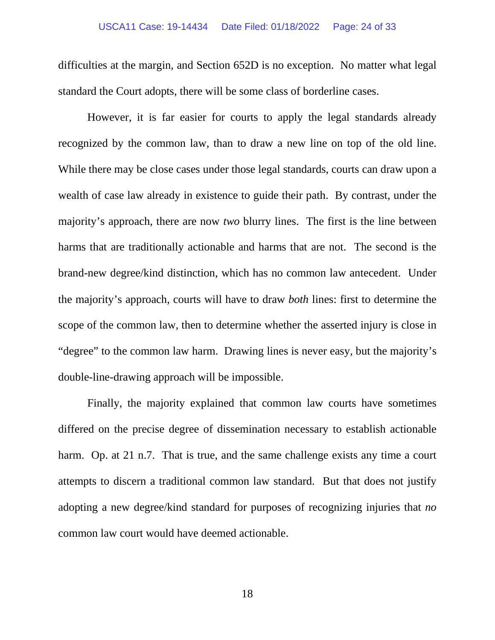difficulties at the margin, and Section 652D is no exception. No matter what legal standard the Court adopts, there will be some class of borderline cases.

However, it is far easier for courts to apply the legal standards already recognized by the common law, than to draw a new line on top of the old line. While there may be close cases under those legal standards, courts can draw upon a wealth of case law already in existence to guide their path. By contrast, under the majority's approach, there are now *two* blurry lines. The first is the line between harms that are traditionally actionable and harms that are not. The second is the brand-new degree/kind distinction, which has no common law antecedent. Under the majority's approach, courts will have to draw *both* lines: first to determine the scope of the common law, then to determine whether the asserted injury is close in "degree" to the common law harm. Drawing lines is never easy, but the majority's double-line-drawing approach will be impossible.

Finally, the majority explained that common law courts have sometimes differed on the precise degree of dissemination necessary to establish actionable harm. Op. at 21 n.7. That is true, and the same challenge exists any time a court attempts to discern a traditional common law standard. But that does not justify adopting a new degree/kind standard for purposes of recognizing injuries that *no* common law court would have deemed actionable.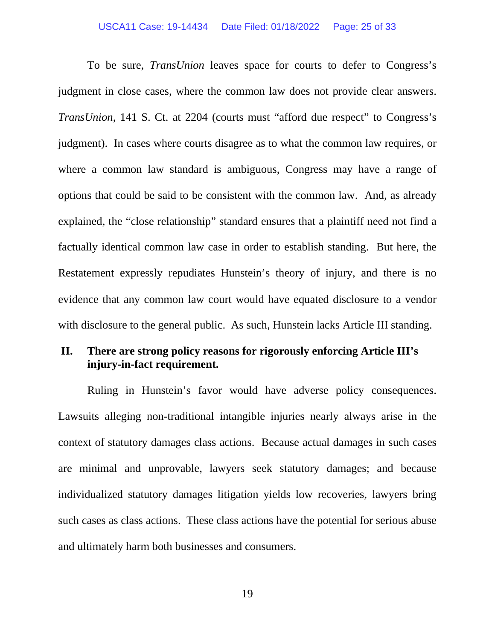#### USCA11 Case: 19-14434 Date Filed: 01/18/2022 Page: 25 of 33

To be sure, *TransUnion* leaves space for courts to defer to Congress's judgment in close cases, where the common law does not provide clear answers. *TransUnion*, 141 S. Ct. at 2204 (courts must "afford due respect" to Congress's judgment). In cases where courts disagree as to what the common law requires, or where a common law standard is ambiguous, Congress may have a range of options that could be said to be consistent with the common law. And, as already explained, the "close relationship" standard ensures that a plaintiff need not find a factually identical common law case in order to establish standing. But here, the Restatement expressly repudiates Hunstein's theory of injury, and there is no evidence that any common law court would have equated disclosure to a vendor with disclosure to the general public. As such, Hunstein lacks Article III standing.

### **II. There are strong policy reasons for rigorously enforcing Article III's injury-in-fact requirement.**

Ruling in Hunstein's favor would have adverse policy consequences. Lawsuits alleging non-traditional intangible injuries nearly always arise in the context of statutory damages class actions. Because actual damages in such cases are minimal and unprovable, lawyers seek statutory damages; and because individualized statutory damages litigation yields low recoveries, lawyers bring such cases as class actions. These class actions have the potential for serious abuse and ultimately harm both businesses and consumers.

19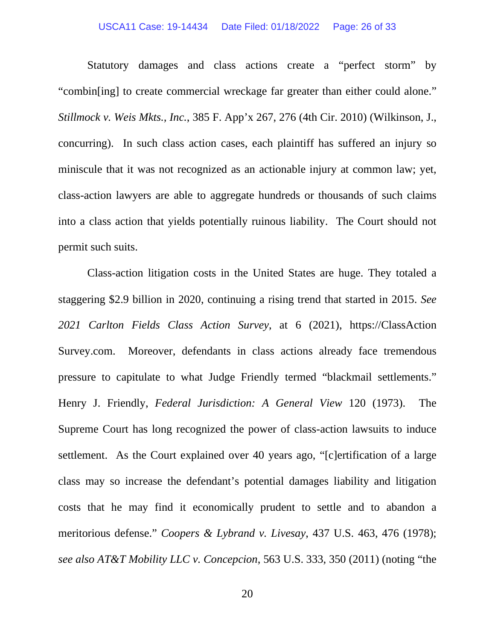#### USCA11 Case: 19-14434 Date Filed: 01/18/2022 Page: 26 of 33

Statutory damages and class actions create a "perfect storm" by "combin[ing] to create commercial wreckage far greater than either could alone." *Stillmock v. Weis Mkts., Inc.*, 385 F. App'x 267, 276 (4th Cir. 2010) (Wilkinson, J., concurring). In such class action cases, each plaintiff has suffered an injury so miniscule that it was not recognized as an actionable injury at common law; yet, class-action lawyers are able to aggregate hundreds or thousands of such claims into a class action that yields potentially ruinous liability. The Court should not permit such suits.

Class-action litigation costs in the United States are huge. They totaled a staggering \$2.9 billion in 2020, continuing a rising trend that started in 2015. *See 2021 Carlton Fields Class Action Survey*, at 6 (2021), https://ClassAction Survey.com. Moreover, defendants in class actions already face tremendous pressure to capitulate to what Judge Friendly termed "blackmail settlements." Henry J. Friendly, *Federal Jurisdiction: A General View* 120 (1973). The Supreme Court has long recognized the power of class-action lawsuits to induce settlement. As the Court explained over 40 years ago, "[c]ertification of a large class may so increase the defendant's potential damages liability and litigation costs that he may find it economically prudent to settle and to abandon a meritorious defense." *Coopers & Lybrand v. Livesay*, 437 U.S. 463, 476 (1978); *see also AT&T Mobility LLC v. Concepcion*, 563 U.S. 333, 350 (2011) (noting "the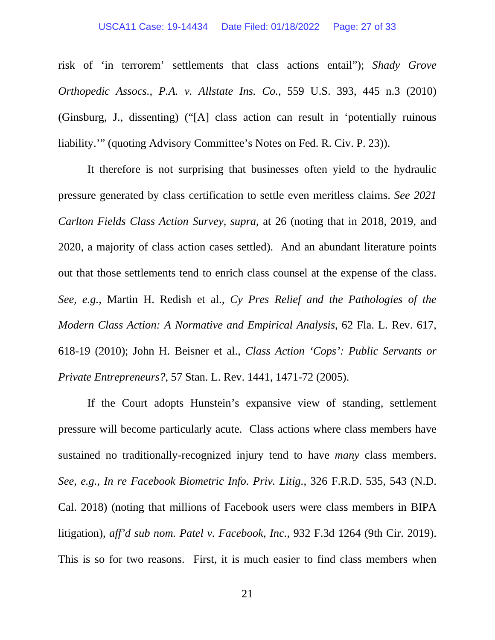#### USCA11 Case: 19-14434 Date Filed: 01/18/2022 Page: 27 of 33

risk of 'in terrorem' settlements that class actions entail"); *Shady Grove Orthopedic Assocs., P.A. v. Allstate Ins. Co.*, 559 U.S. 393, 445 n.3 (2010) (Ginsburg, J., dissenting) ("[A] class action can result in 'potentially ruinous liability.'" (quoting Advisory Committee's Notes on Fed. R. Civ. P. 23)).

It therefore is not surprising that businesses often yield to the hydraulic pressure generated by class certification to settle even meritless claims. *See 2021 Carlton Fields Class Action Survey*, *supra*, at 26 (noting that in 2018, 2019, and 2020, a majority of class action cases settled). And an abundant literature points out that those settlements tend to enrich class counsel at the expense of the class. *See, e.g.*, Martin H. Redish et al., *Cy Pres Relief and the Pathologies of the Modern Class Action: A Normative and Empirical Analysis*, 62 Fla. L. Rev. 617, 618-19 (2010); John H. Beisner et al., *Class Action 'Cops': Public Servants or Private Entrepreneurs?*, 57 Stan. L. Rev. 1441, 1471-72 (2005).

If the Court adopts Hunstein's expansive view of standing, settlement pressure will become particularly acute. Class actions where class members have sustained no traditionally-recognized injury tend to have *many* class members. *See, e.g.*, *In re Facebook Biometric Info. Priv. Litig.*, 326 F.R.D. 535, 543 (N.D. Cal. 2018) (noting that millions of Facebook users were class members in BIPA litigation), *aff'd sub nom. Patel v. Facebook, Inc.*, 932 F.3d 1264 (9th Cir. 2019). This is so for two reasons. First, it is much easier to find class members when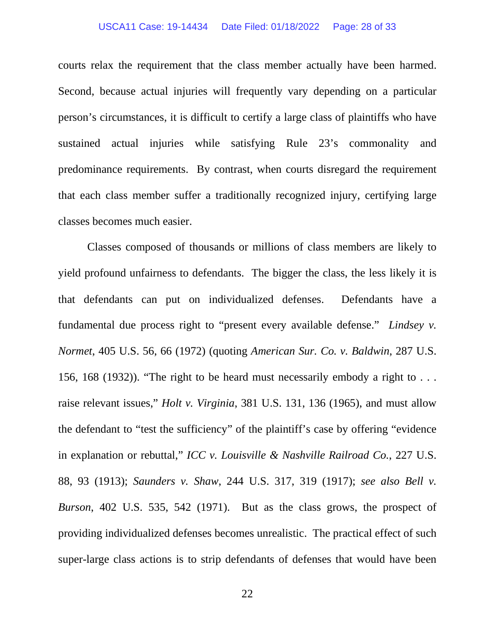#### USCA11 Case: 19-14434 Date Filed: 01/18/2022 Page: 28 of 33

courts relax the requirement that the class member actually have been harmed. Second, because actual injuries will frequently vary depending on a particular person's circumstances, it is difficult to certify a large class of plaintiffs who have sustained actual injuries while satisfying Rule 23's commonality and predominance requirements. By contrast, when courts disregard the requirement that each class member suffer a traditionally recognized injury, certifying large classes becomes much easier.

Classes composed of thousands or millions of class members are likely to yield profound unfairness to defendants. The bigger the class, the less likely it is that defendants can put on individualized defenses. Defendants have a fundamental due process right to "present every available defense." *Lindsey v. Normet*, 405 U.S. 56, 66 (1972) (quoting *American Sur. Co. v. Baldwin*, 287 U.S. 156, 168 (1932)). "The right to be heard must necessarily embody a right to . . . raise relevant issues," *Holt v. Virginia*, 381 U.S. 131, 136 (1965), and must allow the defendant to "test the sufficiency" of the plaintiff's case by offering "evidence in explanation or rebuttal," *ICC v. Louisville & Nashville Railroad Co.*, 227 U.S. 88, 93 (1913); *Saunders v. Shaw*, 244 U.S. 317, 319 (1917); *see also Bell v. Burson*, 402 U.S. 535, 542 (1971). But as the class grows, the prospect of providing individualized defenses becomes unrealistic. The practical effect of such super-large class actions is to strip defendants of defenses that would have been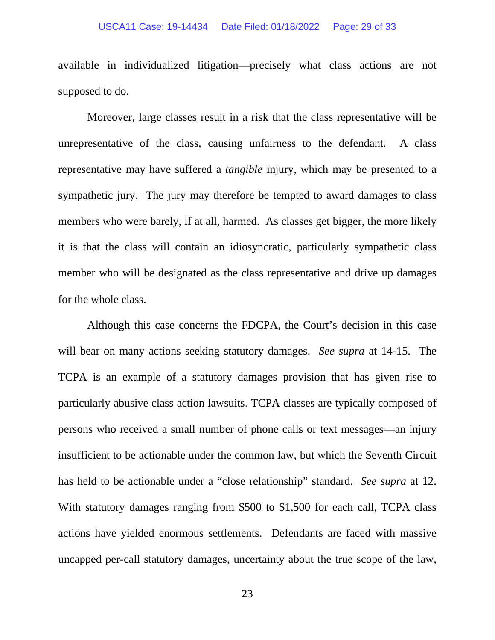#### USCA11 Case: 19-14434 Date Filed: 01/18/2022 Page: 29 of 33

available in individualized litigation—precisely what class actions are not supposed to do.

Moreover, large classes result in a risk that the class representative will be unrepresentative of the class, causing unfairness to the defendant. A class representative may have suffered a *tangible* injury, which may be presented to a sympathetic jury. The jury may therefore be tempted to award damages to class members who were barely, if at all, harmed. As classes get bigger, the more likely it is that the class will contain an idiosyncratic, particularly sympathetic class member who will be designated as the class representative and drive up damages for the whole class.

Although this case concerns the FDCPA, the Court's decision in this case will bear on many actions seeking statutory damages. *See supra* at 14-15. The TCPA is an example of a statutory damages provision that has given rise to particularly abusive class action lawsuits. TCPA classes are typically composed of persons who received a small number of phone calls or text messages—an injury insufficient to be actionable under the common law, but which the Seventh Circuit has held to be actionable under a "close relationship" standard. *See supra* at 12. With statutory damages ranging from \$500 to \$1,500 for each call, TCPA class actions have yielded enormous settlements. Defendants are faced with massive uncapped per-call statutory damages, uncertainty about the true scope of the law,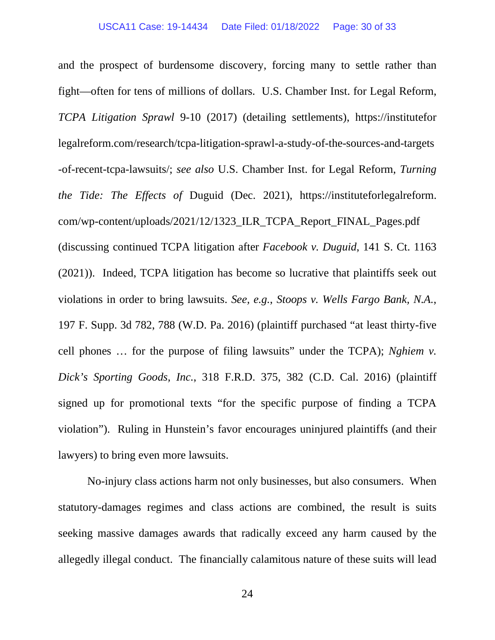and the prospect of burdensome discovery, forcing many to settle rather than fight—often for tens of millions of dollars. U.S. Chamber Inst. for Legal Reform, *TCPA Litigation Sprawl* 9-10 (2017) (detailing settlements), https://institutefor legalreform.com/research/tcpa-litigation-sprawl-a-study-of-the-sources-and-targets -of-recent-tcpa-lawsuits/; *see also* U.S. Chamber Inst. for Legal Reform, *Turning the Tide: The Effects of* Duguid (Dec. 2021), https://instituteforlegalreform. com/wp-content/uploads/2021/12/1323\_ILR\_TCPA\_Report\_FINAL\_Pages.pdf (discussing continued TCPA litigation after *Facebook v. Duguid*, 141 S. Ct. 1163 (2021)). Indeed, TCPA litigation has become so lucrative that plaintiffs seek out violations in order to bring lawsuits. *See, e.g.*, *Stoops v. Wells Fargo Bank, N.A.*, 197 F. Supp. 3d 782, 788 (W.D. Pa. 2016) (plaintiff purchased "at least thirty-five cell phones … for the purpose of filing lawsuits" under the TCPA); *Nghiem v. Dick's Sporting Goods, Inc.*, 318 F.R.D. 375, 382 (C.D. Cal. 2016) (plaintiff signed up for promotional texts "for the specific purpose of finding a TCPA violation"). Ruling in Hunstein's favor encourages uninjured plaintiffs (and their lawyers) to bring even more lawsuits.

No-injury class actions harm not only businesses, but also consumers. When statutory-damages regimes and class actions are combined, the result is suits seeking massive damages awards that radically exceed any harm caused by the allegedly illegal conduct. The financially calamitous nature of these suits will lead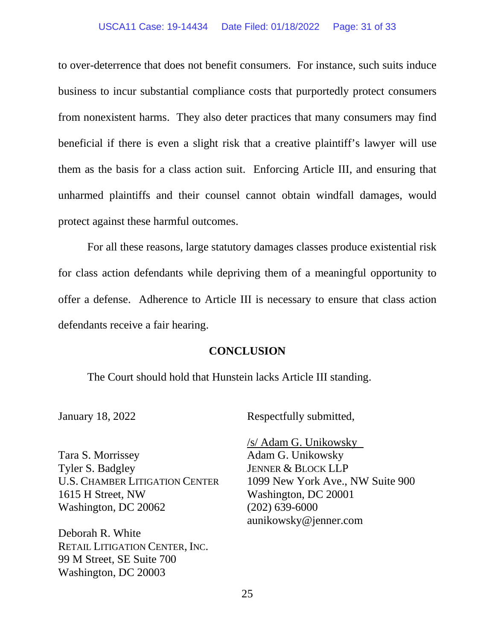#### USCA11 Case: 19-14434 Date Filed: 01/18/2022 Page: 31 of 33

to over-deterrence that does not benefit consumers. For instance, such suits induce business to incur substantial compliance costs that purportedly protect consumers from nonexistent harms. They also deter practices that many consumers may find beneficial if there is even a slight risk that a creative plaintiff's lawyer will use them as the basis for a class action suit. Enforcing Article III, and ensuring that unharmed plaintiffs and their counsel cannot obtain windfall damages, would protect against these harmful outcomes.

For all these reasons, large statutory damages classes produce existential risk for class action defendants while depriving them of a meaningful opportunity to offer a defense. Adherence to Article III is necessary to ensure that class action defendants receive a fair hearing.

#### **CONCLUSION**

The Court should hold that Hunstein lacks Article III standing.

January 18, 2022

Tara S. Morrissey Tyler S. Badgley U.S. CHAMBER LITIGATION CENTER 1615 H Street, NW Washington, DC 20062

Deborah R. White RETAIL LITIGATION CENTER, INC. 99 M Street, SE Suite 700 Washington, DC 20003

Respectfully submitted,

/s/ Adam G. Unikowsky Adam G. Unikowsky JENNER & BLOCK LLP 1099 New York Ave., NW Suite 900 Washington, DC 20001 (202) 639-6000 aunikowsky@jenner.com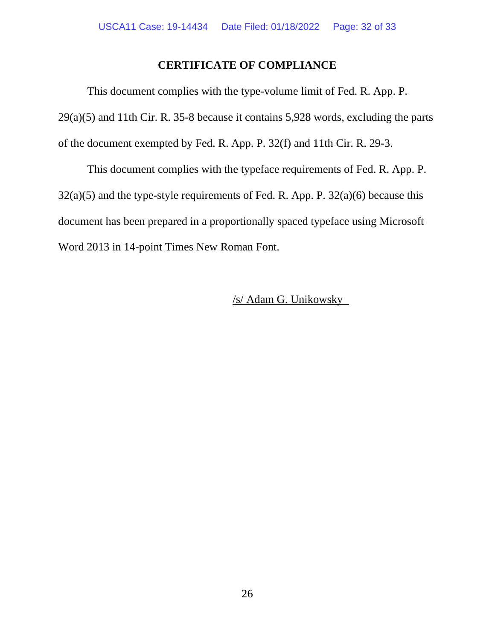### **CERTIFICATE OF COMPLIANCE**

This document complies with the type-volume limit of Fed. R. App. P. 29(a)(5) and 11th Cir. R. 35-8 because it contains 5,928 words, excluding the parts of the document exempted by Fed. R. App. P. 32(f) and 11th Cir. R. 29-3.

This document complies with the typeface requirements of Fed. R. App. P.  $32(a)(5)$  and the type-style requirements of Fed. R. App. P.  $32(a)(6)$  because this document has been prepared in a proportionally spaced typeface using Microsoft Word 2013 in 14-point Times New Roman Font.

### /s/ Adam G. Unikowsky